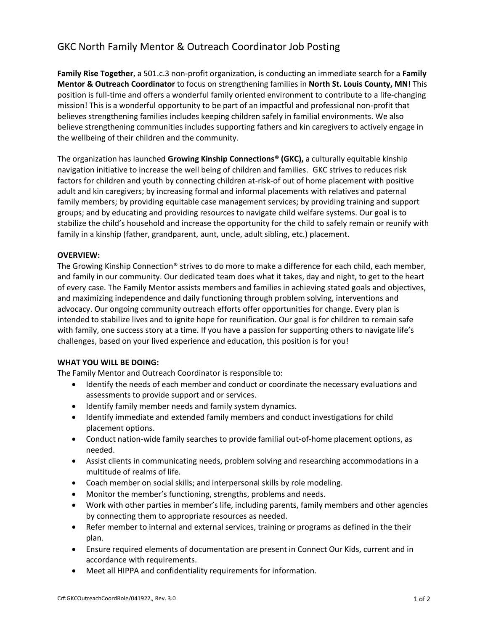# GKC North Family Mentor & Outreach Coordinator Job Posting

**Family Rise Together**, a 501.c.3 non-profit organization, is conducting an immediate search for a **Family Mentor & Outreach Coordinator** to focus on strengthening families in **North St. Louis County, MN!** This position is full-time and offers a wonderful family oriented environment to contribute to a life-changing mission! This is a wonderful opportunity to be part of an impactful and professional non-profit that believes strengthening families includes keeping children safely in familial environments. We also believe strengthening communities includes supporting fathers and kin caregivers to actively engage in the wellbeing of their children and the community.

The organization has launched **Growing Kinship Connections® (GKC),** a culturally equitable kinship navigation initiative to increase the well being of children and families. GKC strives to reduces risk factors for children and youth by connecting children at-risk-of out of home placement with positive adult and kin caregivers; by increasing formal and informal placements with relatives and paternal family members; by providing equitable case management services; by providing training and support groups; and by educating and providing resources to navigate child welfare systems. Our goal is to stabilize the child's household and increase the opportunity for the child to safely remain or reunify with family in a kinship (father, grandparent, aunt, uncle, adult sibling, etc.) placement.

## **OVERVIEW:**

The Growing Kinship Connection® strives to do more to make a difference for each child, each member, and family in our community. Our dedicated team does what it takes, day and night, to get to the heart of every case. The Family Mentor assists members and families in achieving stated goals and objectives, and maximizing independence and daily functioning through problem solving, interventions and advocacy. Our ongoing community outreach efforts offer opportunities for change. Every plan is intended to stabilize lives and to ignite hope for reunification. Our goal is for children to remain safe with family, one success story at a time. If you have a passion for supporting others to navigate life's challenges, based on your lived experience and education, this position is for you!

### **WHAT YOU WILL BE DOING:**

The Family Mentor and Outreach Coordinator is responsible to:

- Identify the needs of each member and conduct or coordinate the necessary evaluations and assessments to provide support and or services.
- Identify family member needs and family system dynamics.
- Identify immediate and extended family members and conduct investigations for child placement options.
- Conduct nation-wide family searches to provide familial out-of-home placement options, as needed.
- Assist clients in communicating needs, problem solving and researching accommodations in a multitude of realms of life.
- Coach member on social skills; and interpersonal skills by role modeling.
- Monitor the member's functioning, strengths, problems and needs.
- Work with other parties in member's life, including parents, family members and other agencies by connecting them to appropriate resources as needed.
- Refer member to internal and external services, training or programs as defined in the their plan.
- Ensure required elements of documentation are present in Connect Our Kids, current and in accordance with requirements.
- Meet all HIPPA and confidentiality requirements for information.